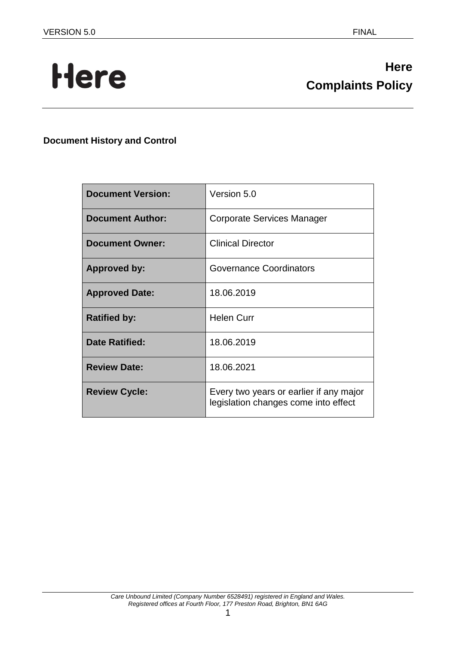# Here

# **Here Complaints Policy**

# **Document History and Control**

| <b>Document Version:</b> | Version 5.0                                                                     |
|--------------------------|---------------------------------------------------------------------------------|
| <b>Document Author:</b>  | Corporate Services Manager                                                      |
| <b>Document Owner:</b>   | <b>Clinical Director</b>                                                        |
| <b>Approved by:</b>      | <b>Governance Coordinators</b>                                                  |
| <b>Approved Date:</b>    | 18.06.2019                                                                      |
| <b>Ratified by:</b>      | <b>Helen Curr</b>                                                               |
| <b>Date Ratified:</b>    | 18.06.2019                                                                      |
| <b>Review Date:</b>      | 18.06.2021                                                                      |
| <b>Review Cycle:</b>     | Every two years or earlier if any major<br>legislation changes come into effect |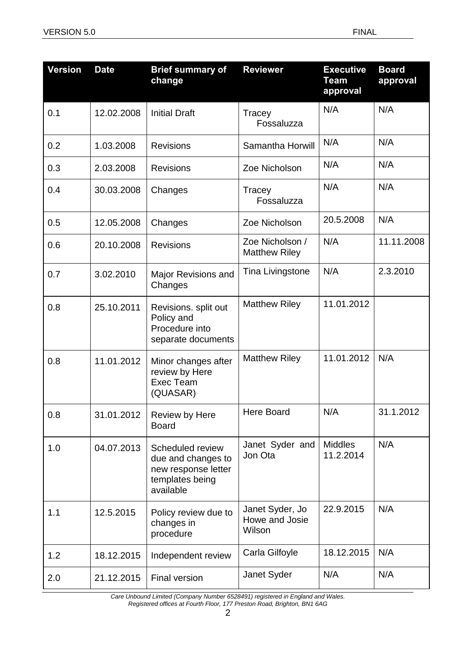| <b>Version</b> | <b>Date</b> | <b>Brief summary of</b><br>change                                                             | <b>Reviewer</b>                             | <b>Executive</b><br>Team<br>approval | <b>Board</b><br>approval |
|----------------|-------------|-----------------------------------------------------------------------------------------------|---------------------------------------------|--------------------------------------|--------------------------|
| 0.1            | 12.02.2008  | <b>Initial Draft</b>                                                                          | Tracey<br>Fossaluzza                        | N/A                                  | N/A                      |
| 0.2            | 1.03.2008   | <b>Revisions</b>                                                                              | Samantha Horwill                            | N/A                                  | N/A                      |
| 0.3            | 2.03.2008   | <b>Revisions</b>                                                                              | Zoe Nicholson                               | N/A                                  | N/A                      |
| 0.4            | 30.03.2008  | Changes                                                                                       | Tracey<br>Fossaluzza                        | N/A                                  | N/A                      |
| 0.5            | 12.05.2008  | Changes                                                                                       | Zoe Nicholson                               | 20.5.2008                            | N/A                      |
| 0.6            | 20.10.2008  | <b>Revisions</b>                                                                              | Zoe Nicholson /<br><b>Matthew Riley</b>     | N/A                                  | 11.11.2008               |
| 0.7            | 3.02.2010   | <b>Major Revisions and</b><br>Changes                                                         | <b>Tina Livingstone</b>                     | N/A                                  | 2.3.2010                 |
| 0.8            | 25.10.2011  | Revisions. split out<br>Policy and<br>Procedure into<br>separate documents                    | <b>Matthew Riley</b>                        | 11.01.2012                           |                          |
| 0.8            | 11.01.2012  | Minor changes after<br>review by Here<br>Exec Team<br>(QUASAR)                                | <b>Matthew Riley</b>                        | 11.01.2012                           | N/A                      |
| 0.8            | 31.01.2012  | Review by Here<br><b>Board</b>                                                                | Here Board                                  | N/A                                  | 31.1.2012                |
| 1.0            | 04.07.2013  | Scheduled review<br>due and changes to<br>new response letter<br>templates being<br>available | Janet Syder and<br>Jon Ota                  | <b>Middles</b><br>11.2.2014          | N/A                      |
| 1.1            | 12.5.2015   | Policy review due to<br>changes in<br>procedure                                               | Janet Syder, Jo<br>Howe and Josie<br>Wilson | 22.9.2015                            | N/A                      |
| 1.2            | 18.12.2015  | Independent review                                                                            | Carla Gilfoyle                              | 18.12.2015                           | N/A                      |
| 2.0            | 21.12.2015  | <b>Final version</b>                                                                          | Janet Syder                                 | N/A                                  | N/A                      |

*Care Unbound Limited (Company Number 6528491) registered in England and Wales. Registered offices at Fourth Floor, 177 Preston Road, Brighton, BN1 6AG*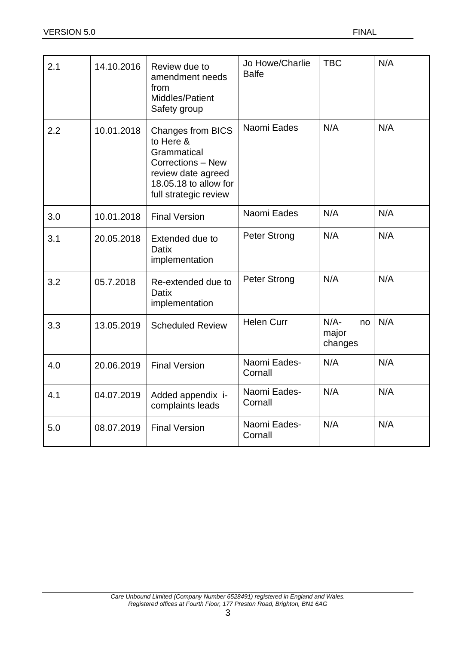| 2.1 | 14.10.2016 | Review due to<br>amendment needs<br>from<br>Middles/Patient<br>Safety group                                                                       | Jo Howe/Charlie<br><b>Balfe</b> | <b>TBC</b>                        | N/A |
|-----|------------|---------------------------------------------------------------------------------------------------------------------------------------------------|---------------------------------|-----------------------------------|-----|
| 2.2 | 10.01.2018 | <b>Changes from BICS</b><br>to Here &<br>Grammatical<br>Corrections - New<br>review date agreed<br>18.05.18 to allow for<br>full strategic review | Naomi Eades                     | N/A                               | N/A |
| 3.0 | 10.01.2018 | <b>Final Version</b>                                                                                                                              | Naomi Eades                     | N/A                               | N/A |
| 3.1 | 20.05.2018 | Extended due to<br><b>Datix</b><br>implementation                                                                                                 | <b>Peter Strong</b>             | N/A                               | N/A |
| 3.2 | 05.7.2018  | Re-extended due to<br>Datix<br>implementation                                                                                                     | <b>Peter Strong</b>             | N/A                               | N/A |
| 3.3 | 13.05.2019 | <b>Scheduled Review</b>                                                                                                                           | <b>Helen Curr</b>               | $N/A$ -<br>no<br>major<br>changes | N/A |
| 4.0 | 20.06.2019 | <b>Final Version</b>                                                                                                                              | Naomi Eades-<br>Cornall         | N/A                               | N/A |
| 4.1 | 04.07.2019 | Added appendix i-<br>complaints leads                                                                                                             | Naomi Eades-<br>Cornall         | N/A                               | N/A |
| 5.0 | 08.07.2019 | <b>Final Version</b>                                                                                                                              | Naomi Eades-<br>Cornall         | N/A                               | N/A |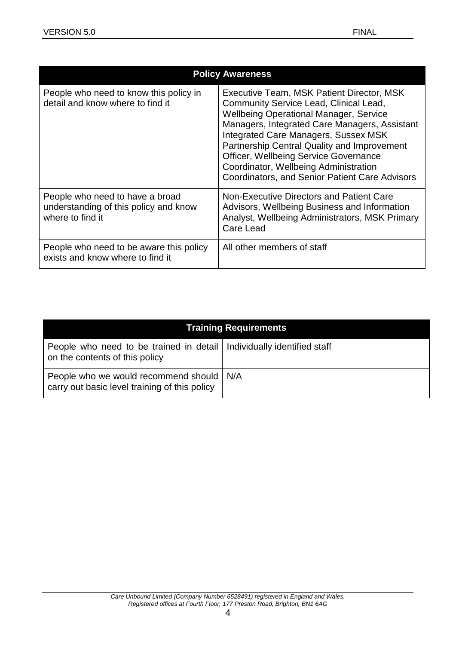|                                                                                              | <b>Policy Awareness</b>                                                                                                                                                                                                                                                                                                                                                                                                               |  |  |  |  |  |
|----------------------------------------------------------------------------------------------|---------------------------------------------------------------------------------------------------------------------------------------------------------------------------------------------------------------------------------------------------------------------------------------------------------------------------------------------------------------------------------------------------------------------------------------|--|--|--|--|--|
| People who need to know this policy in<br>detail and know where to find it                   | Executive Team, MSK Patient Director, MSK<br>Community Service Lead, Clinical Lead,<br><b>Wellbeing Operational Manager, Service</b><br>Managers, Integrated Care Managers, Assistant<br><b>Integrated Care Managers, Sussex MSK</b><br>Partnership Central Quality and Improvement<br><b>Officer, Wellbeing Service Governance</b><br>Coordinator, Wellbeing Administration<br><b>Coordinators, and Senior Patient Care Advisors</b> |  |  |  |  |  |
| People who need to have a broad<br>understanding of this policy and know<br>where to find it | Non-Executive Directors and Patient Care<br>Advisors, Wellbeing Business and Information<br>Analyst, Wellbeing Administrators, MSK Primary<br>Care Lead                                                                                                                                                                                                                                                                               |  |  |  |  |  |
| People who need to be aware this policy<br>exists and know where to find it                  | All other members of staff                                                                                                                                                                                                                                                                                                                                                                                                            |  |  |  |  |  |

|                                                                                                           | <b>Training Requirements</b> |
|-----------------------------------------------------------------------------------------------------------|------------------------------|
| People who need to be trained in detail   Individually identified staff<br>on the contents of this policy |                              |
| People who we would recommend should   N/A<br>carry out basic level training of this policy               |                              |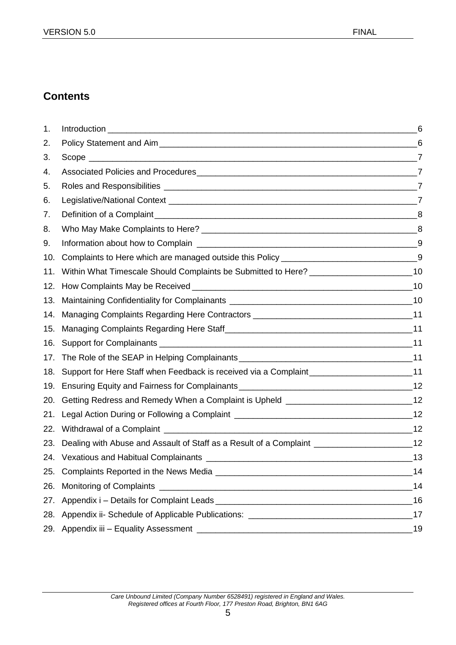# **Contents**

| 1.  |                                                                                                       | 6  |
|-----|-------------------------------------------------------------------------------------------------------|----|
| 2.  |                                                                                                       |    |
| 3.  |                                                                                                       |    |
| 4.  |                                                                                                       |    |
| 5.  |                                                                                                       |    |
| 6.  |                                                                                                       |    |
| 7.  |                                                                                                       |    |
| 8.  |                                                                                                       |    |
| 9.  |                                                                                                       |    |
| 10. | Complaints to Here which are managed outside this Policy ___________________________________9         |    |
| 11. | Within What Timescale Should Complaints be Submitted to Here? ________________________10              |    |
| 12. |                                                                                                       |    |
| 13. |                                                                                                       |    |
| 14. | Managing Complaints Regarding Here Contractors __________________________________11                   |    |
| 15. |                                                                                                       |    |
| 16. |                                                                                                       |    |
| 17. |                                                                                                       |    |
| 18. | Support for Here Staff when Feedback is received via a Complaint____________________________11        |    |
| 19. |                                                                                                       |    |
| 20. | Getting Redress and Remedy When a Complaint is Upheld ___________________________12                   |    |
| 21. |                                                                                                       |    |
| 22. |                                                                                                       |    |
| 23. | Dealing with Abuse and Assault of Staff as a Result of a Complaint ________________________________12 |    |
|     |                                                                                                       |    |
|     |                                                                                                       | 14 |
|     |                                                                                                       | 14 |
|     | 27. Appendix i – Details for Complaint Leads Lease and Complaint Leads 27. Appendix i – 16            |    |
|     | 28. Appendix ii- Schedule of Applicable Publications: ___________________________                     | 17 |
|     |                                                                                                       | 19 |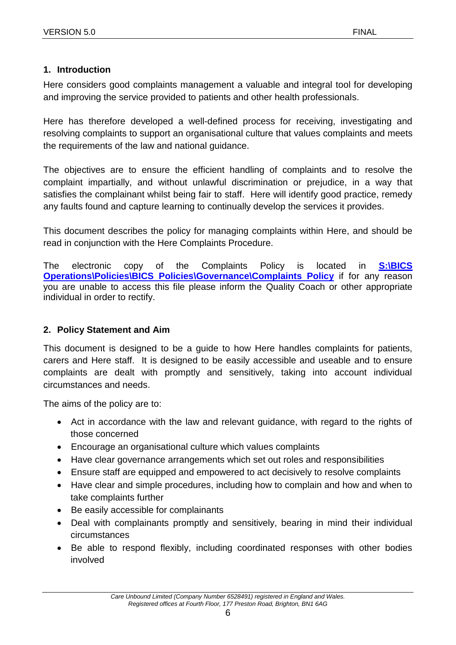#### <span id="page-5-0"></span>**1. Introduction**

Here considers good complaints management a valuable and integral tool for developing and improving the service provided to patients and other health professionals.

Here has therefore developed a well-defined process for receiving, investigating and resolving complaints to support an organisational culture that values complaints and meets the requirements of the law and national guidance.

The objectives are to ensure the efficient handling of complaints and to resolve the complaint impartially, and without unlawful discrimination or prejudice, in a way that satisfies the complainant whilst being fair to staff. Here will identify good practice, remedy any faults found and capture learning to continually develop the services it provides.

This document describes the policy for managing complaints within Here, and should be read in conjunction with the Here Complaints Procedure.

The electronic copy of the Complaints Policy is located in **[S:\BICS](../../../../../BICS%20Operations/Policies/BICS%20Policies/Governance/Complaints%20Policy) [Operations\Policies\BICS Policies\Governance\Complaints Policy](../../../../../BICS%20Operations/Policies/BICS%20Policies/Governance/Complaints%20Policy)** if for any reason you are unable to access this file please inform the Quality Coach or other appropriate individual in order to rectify.

#### <span id="page-5-1"></span>**2. Policy Statement and Aim**

This document is designed to be a guide to how Here handles complaints for patients, carers and Here staff. It is designed to be easily accessible and useable and to ensure complaints are dealt with promptly and sensitively, taking into account individual circumstances and needs.

The aims of the policy are to:

- Act in accordance with the law and relevant guidance, with regard to the rights of those concerned
- Encourage an organisational culture which values complaints
- Have clear governance arrangements which set out roles and responsibilities
- Ensure staff are equipped and empowered to act decisively to resolve complaints
- Have clear and simple procedures, including how to complain and how and when to take complaints further
- Be easily accessible for complainants
- Deal with complainants promptly and sensitively, bearing in mind their individual circumstances
- Be able to respond flexibly, including coordinated responses with other bodies involved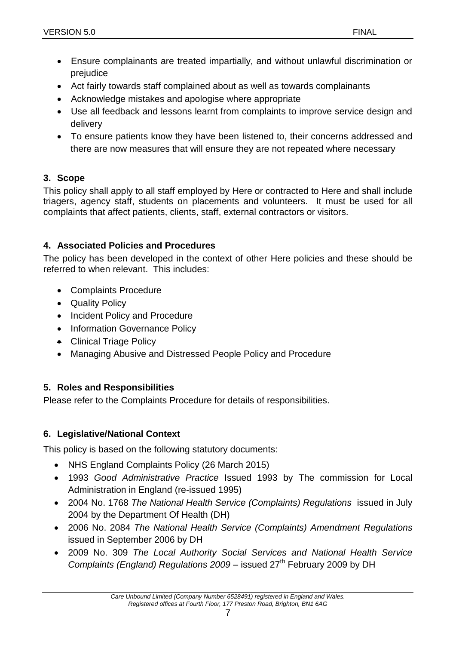- Ensure complainants are treated impartially, and without unlawful discrimination or prejudice
- Act fairly towards staff complained about as well as towards complainants
- Acknowledge mistakes and apologise where appropriate
- Use all feedback and lessons learnt from complaints to improve service design and delivery
- To ensure patients know they have been listened to, their concerns addressed and there are now measures that will ensure they are not repeated where necessary

#### <span id="page-6-0"></span>**3. Scope**

This policy shall apply to all staff employed by Here or contracted to Here and shall include triagers, agency staff, students on placements and volunteers. It must be used for all complaints that affect patients, clients, staff, external contractors or visitors.

#### <span id="page-6-1"></span>**4. Associated Policies and Procedures**

The policy has been developed in the context of other Here policies and these should be referred to when relevant. This includes:

- Complaints Procedure
- Quality Policy
- Incident Policy and Procedure
- Information Governance Policy
- Clinical Triage Policy
- Managing Abusive and Distressed People Policy and Procedure

#### <span id="page-6-2"></span>**5. Roles and Responsibilities**

Please refer to the Complaints Procedure for details of responsibilities.

# <span id="page-6-3"></span>**6. Legislative/National Context**

This policy is based on the following statutory documents:

- NHS England Complaints Policy (26 March 2015)
- 1993 *Good Administrative Practice* Issued 1993 by The commission for Local Administration in England (re-issued 1995)
- 2004 No. 1768 *The National Health Service (Complaints) Regulations* issued in July 2004 by the Department Of Health (DH)
- 2006 No. 2084 *The National Health Service (Complaints) Amendment Regulations*  issued in September 2006 by DH
- 2009 No. 309 *The Local Authority Social Services and National Health Service Complaints (England) Regulations 2009* – issued 27<sup>th</sup> February 2009 by DH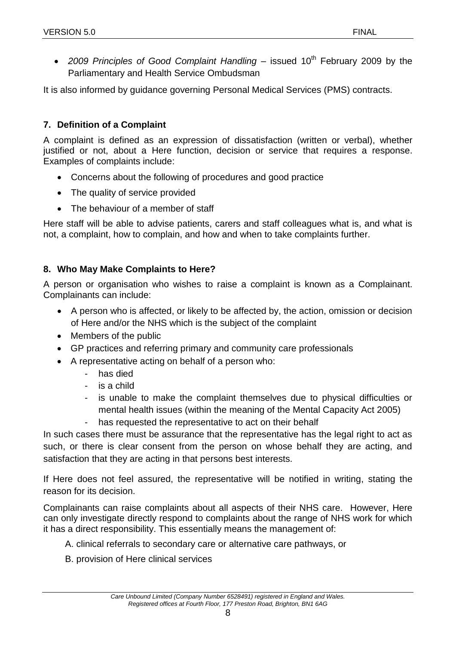• 2009 Principles of Good Complaint Handling – issued 10<sup>th</sup> February 2009 by the Parliamentary and Health Service Ombudsman

It is also informed by guidance governing Personal Medical Services (PMS) contracts.

#### <span id="page-7-0"></span>**7. Definition of a Complaint**

A complaint is defined as an expression of dissatisfaction (written or verbal), whether justified or not, about a Here function, decision or service that requires a response. Examples of complaints include:

- Concerns about the following of procedures and good practice
- The quality of service provided
- The behaviour of a member of staff

Here staff will be able to advise patients, carers and staff colleagues what is, and what is not, a complaint, how to complain, and how and when to take complaints further.

#### <span id="page-7-1"></span>**8. Who May Make Complaints to Here?**

A person or organisation who wishes to raise a complaint is known as a Complainant. Complainants can include:

- A person who is affected, or likely to be affected by, the action, omission or decision of Here and/or the NHS which is the subject of the complaint
- Members of the public
- GP practices and referring primary and community care professionals
- A representative acting on behalf of a person who:
	- has died
		- is a child
		- is unable to make the complaint themselves due to physical difficulties or mental health issues (within the meaning of the Mental Capacity Act 2005)
		- has requested the representative to act on their behalf

In such cases there must be assurance that the representative has the legal right to act as such, or there is clear consent from the person on whose behalf they are acting, and satisfaction that they are acting in that persons best interests.

If Here does not feel assured, the representative will be notified in writing, stating the reason for its decision.

Complainants can raise complaints about all aspects of their NHS care. However, Here can only investigate directly respond to complaints about the range of NHS work for which it has a direct responsibility. This essentially means the management of:

- A. clinical referrals to secondary care or alternative care pathways, or
- B. provision of Here clinical services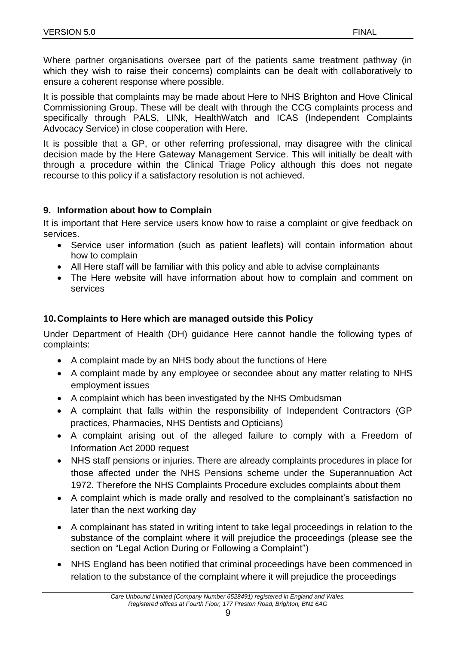Where partner organisations oversee part of the patients same treatment pathway (in which they wish to raise their concerns) complaints can be dealt with collaboratively to ensure a coherent response where possible.

It is possible that complaints may be made about Here to NHS Brighton and Hove Clinical Commissioning Group. These will be dealt with through the CCG complaints process and specifically through PALS, LINk, HealthWatch and ICAS (Independent Complaints Advocacy Service) in close cooperation with Here.

It is possible that a GP, or other referring professional, may disagree with the clinical decision made by the Here Gateway Management Service. This will initially be dealt with through a procedure within the Clinical Triage Policy although this does not negate recourse to this policy if a satisfactory resolution is not achieved.

#### <span id="page-8-0"></span>**9. Information about how to Complain**

It is important that Here service users know how to raise a complaint or give feedback on services.

- Service user information (such as patient leaflets) will contain information about how to complain
- All Here staff will be familiar with this policy and able to advise complainants
- The Here website will have information about how to complain and comment on services

# <span id="page-8-1"></span>**10.Complaints to Here which are managed outside this Policy**

Under Department of Health (DH) guidance Here cannot handle the following types of complaints:

- A complaint made by an NHS body about the functions of Here
- A complaint made by any employee or secondee about any matter relating to NHS employment issues
- A complaint which has been investigated by the NHS Ombudsman
- A complaint that falls within the responsibility of Independent Contractors (GP practices, Pharmacies, NHS Dentists and Opticians)
- A complaint arising out of the alleged failure to comply with a Freedom of Information Act 2000 request
- NHS staff pensions or injuries. There are already complaints procedures in place for those affected under the NHS Pensions scheme under the Superannuation Act 1972. Therefore the NHS Complaints Procedure excludes complaints about them
- A complaint which is made orally and resolved to the complainant's satisfaction no later than the next working day
- A complainant has stated in writing intent to take legal proceedings in relation to the substance of the complaint where it will prejudice the proceedings (please see the section on "Legal Action During or Following a Complaint")
- NHS England has been notified that criminal proceedings have been commenced in relation to the substance of the complaint where it will prejudice the proceedings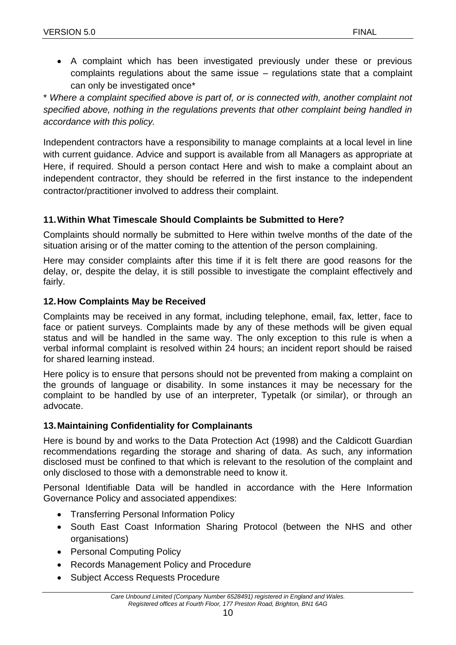• A complaint which has been investigated previously under these or previous complaints regulations about the same issue – regulations state that a complaint can only be investigated once\*

\* *Where a complaint specified above is part of, or is connected with, another complaint not specified above, nothing in the regulations prevents that other complaint being handled in accordance with this policy.*

Independent contractors have a responsibility to manage complaints at a local level in line with current guidance. Advice and support is available from all Managers as appropriate at Here, if required. Should a person contact Here and wish to make a complaint about an independent contractor, they should be referred in the first instance to the independent contractor/practitioner involved to address their complaint.

# <span id="page-9-0"></span>**11.Within What Timescale Should Complaints be Submitted to Here?**

Complaints should normally be submitted to Here within twelve months of the date of the situation arising or of the matter coming to the attention of the person complaining.

Here may consider complaints after this time if it is felt there are good reasons for the delay, or, despite the delay, it is still possible to investigate the complaint effectively and fairly.

#### <span id="page-9-1"></span>**12.How Complaints May be Received**

Complaints may be received in any format, including telephone, email, fax, letter, face to face or patient surveys. Complaints made by any of these methods will be given equal status and will be handled in the same way. The only exception to this rule is when a verbal informal complaint is resolved within 24 hours; an incident report should be raised for shared learning instead.

Here policy is to ensure that persons should not be prevented from making a complaint on the grounds of language or disability. In some instances it may be necessary for the complaint to be handled by use of an interpreter, Typetalk (or similar), or through an advocate.

# <span id="page-9-2"></span>**13.Maintaining Confidentiality for Complainants**

Here is bound by and works to the Data Protection Act (1998) and the Caldicott Guardian recommendations regarding the storage and sharing of data. As such, any information disclosed must be confined to that which is relevant to the resolution of the complaint and only disclosed to those with a demonstrable need to know it.

Personal Identifiable Data will be handled in accordance with the Here Information Governance Policy and associated appendixes:

- Transferring Personal Information Policy
- South East Coast Information Sharing Protocol (between the NHS and other organisations)
- Personal Computing Policy
- Records Management Policy and Procedure
- Subject Access Requests Procedure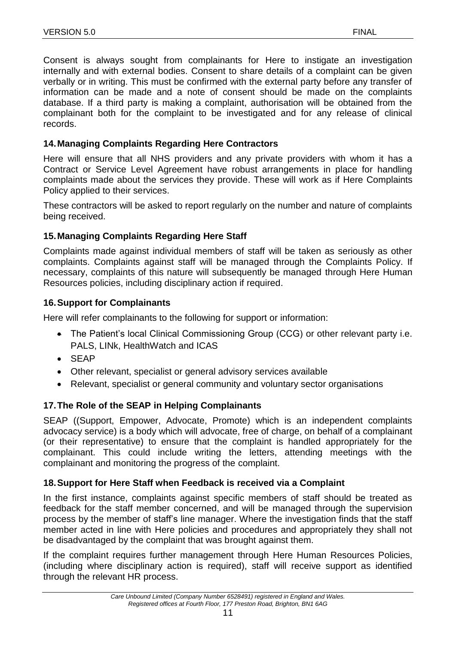Consent is always sought from complainants for Here to instigate an investigation internally and with external bodies. Consent to share details of a complaint can be given verbally or in writing. This must be confirmed with the external party before any transfer of information can be made and a note of consent should be made on the complaints database. If a third party is making a complaint, authorisation will be obtained from the complainant both for the complaint to be investigated and for any release of clinical records.

#### <span id="page-10-0"></span>**14.Managing Complaints Regarding Here Contractors**

Here will ensure that all NHS providers and any private providers with whom it has a Contract or Service Level Agreement have robust arrangements in place for handling complaints made about the services they provide. These will work as if Here Complaints Policy applied to their services.

These contractors will be asked to report regularly on the number and nature of complaints being received.

#### <span id="page-10-1"></span>**15.Managing Complaints Regarding Here Staff**

Complaints made against individual members of staff will be taken as seriously as other complaints. Complaints against staff will be managed through the Complaints Policy. If necessary, complaints of this nature will subsequently be managed through Here Human Resources policies, including disciplinary action if required.

#### <span id="page-10-2"></span>**16.Support for Complainants**

Here will refer complainants to the following for support or information:

- The Patient's local Clinical Commissioning Group (CCG) or other relevant party i.e. PALS, LINk, HealthWatch and ICAS
- SEAP
- Other relevant, specialist or general advisory services available
- Relevant, specialist or general community and voluntary sector organisations

#### <span id="page-10-3"></span>**17.The Role of the SEAP in Helping Complainants**

SEAP ((Support, Empower, Advocate, Promote) which is an independent complaints advocacy service) is a body which will advocate, free of charge, on behalf of a complainant (or their representative) to ensure that the complaint is handled appropriately for the complainant. This could include writing the letters, attending meetings with the complainant and monitoring the progress of the complaint.

#### <span id="page-10-4"></span>**18.Support for Here Staff when Feedback is received via a Complaint**

In the first instance, complaints against specific members of staff should be treated as feedback for the staff member concerned, and will be managed through the supervision process by the member of staff's line manager. Where the investigation finds that the staff member acted in line with Here policies and procedures and appropriately they shall not be disadvantaged by the complaint that was brought against them.

If the complaint requires further management through Here Human Resources Policies, (including where disciplinary action is required), staff will receive support as identified through the relevant HR process.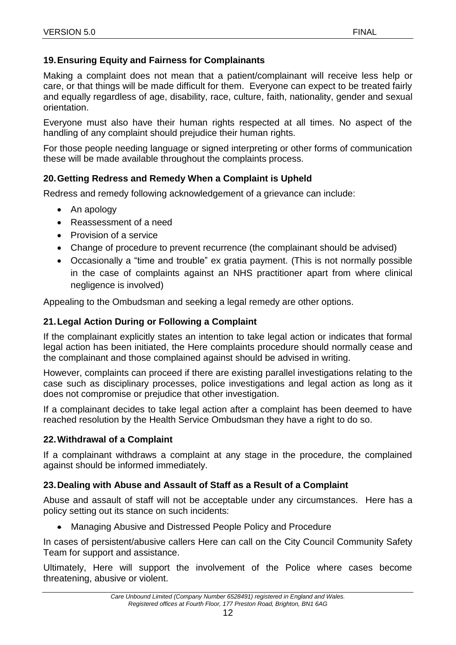#### <span id="page-11-0"></span>**19.Ensuring Equity and Fairness for Complainants**

Making a complaint does not mean that a patient/complainant will receive less help or care, or that things will be made difficult for them. Everyone can expect to be treated fairly and equally regardless of age, disability, race, culture, faith, nationality, gender and sexual orientation.

Everyone must also have their human rights respected at all times. No aspect of the handling of any complaint should prejudice their human rights.

For those people needing language or signed interpreting or other forms of communication these will be made available throughout the complaints process.

#### <span id="page-11-1"></span>**20.Getting Redress and Remedy When a Complaint is Upheld**

Redress and remedy following acknowledgement of a grievance can include:

- An apology
- Reassessment of a need
- Provision of a service
- Change of procedure to prevent recurrence (the complainant should be advised)
- Occasionally a "time and trouble" ex gratia payment. (This is not normally possible in the case of complaints against an NHS practitioner apart from where clinical negligence is involved)

Appealing to the Ombudsman and seeking a legal remedy are other options.

#### <span id="page-11-2"></span>**21.Legal Action During or Following a Complaint**

If the complainant explicitly states an intention to take legal action or indicates that formal legal action has been initiated, the Here complaints procedure should normally cease and the complainant and those complained against should be advised in writing.

However, complaints can proceed if there are existing parallel investigations relating to the case such as disciplinary processes, police investigations and legal action as long as it does not compromise or prejudice that other investigation.

If a complainant decides to take legal action after a complaint has been deemed to have reached resolution by the Health Service Ombudsman they have a right to do so.

#### <span id="page-11-3"></span>**22.Withdrawal of a Complaint**

If a complainant withdraws a complaint at any stage in the procedure, the complained against should be informed immediately.

#### <span id="page-11-4"></span>**23.Dealing with Abuse and Assault of Staff as a Result of a Complaint**

Abuse and assault of staff will not be acceptable under any circumstances. Here has a policy setting out its stance on such incidents:

Managing Abusive and Distressed People Policy and Procedure

In cases of persistent/abusive callers Here can call on the City Council Community Safety Team for support and assistance.

Ultimately, Here will support the involvement of the Police where cases become threatening, abusive or violent.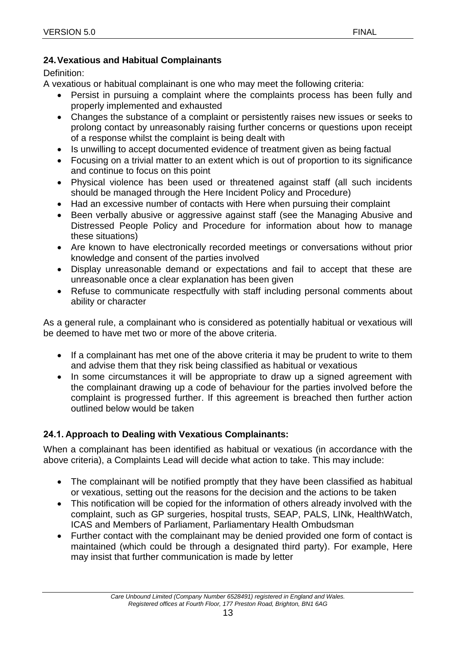#### <span id="page-12-0"></span>**24.Vexatious and Habitual Complainants**

Definition:

A vexatious or habitual complainant is one who may meet the following criteria:

- Persist in pursuing a complaint where the complaints process has been fully and properly implemented and exhausted
- Changes the substance of a complaint or persistently raises new issues or seeks to prolong contact by unreasonably raising further concerns or questions upon receipt of a response whilst the complaint is being dealt with
- Is unwilling to accept documented evidence of treatment given as being factual
- Focusing on a trivial matter to an extent which is out of proportion to its significance and continue to focus on this point
- Physical violence has been used or threatened against staff (all such incidents should be managed through the Here Incident Policy and Procedure)
- Had an excessive number of contacts with Here when pursuing their complaint
- Been verbally abusive or aggressive against staff (see the Managing Abusive and Distressed People Policy and Procedure for information about how to manage these situations)
- Are known to have electronically recorded meetings or conversations without prior knowledge and consent of the parties involved
- Display unreasonable demand or expectations and fail to accept that these are unreasonable once a clear explanation has been given
- Refuse to communicate respectfully with staff including personal comments about ability or character

As a general rule, a complainant who is considered as potentially habitual or vexatious will be deemed to have met two or more of the above criteria.

- If a complainant has met one of the above criteria it may be prudent to write to them and advise them that they risk being classified as habitual or vexatious
- In some circumstances it will be appropriate to draw up a signed agreement with the complainant drawing up a code of behaviour for the parties involved before the complaint is progressed further. If this agreement is breached then further action outlined below would be taken

# **24.1. Approach to Dealing with Vexatious Complainants:**

When a complainant has been identified as habitual or vexatious (in accordance with the above criteria), a Complaints Lead will decide what action to take. This may include:

- The complainant will be notified promptly that they have been classified as habitual or vexatious, setting out the reasons for the decision and the actions to be taken
- This notification will be copied for the information of others already involved with the complaint, such as GP surgeries, hospital trusts, SEAP, PALS, LINk, HealthWatch, ICAS and Members of Parliament, Parliamentary Health Ombudsman
- Further contact with the complainant may be denied provided one form of contact is maintained (which could be through a designated third party). For example, Here may insist that further communication is made by letter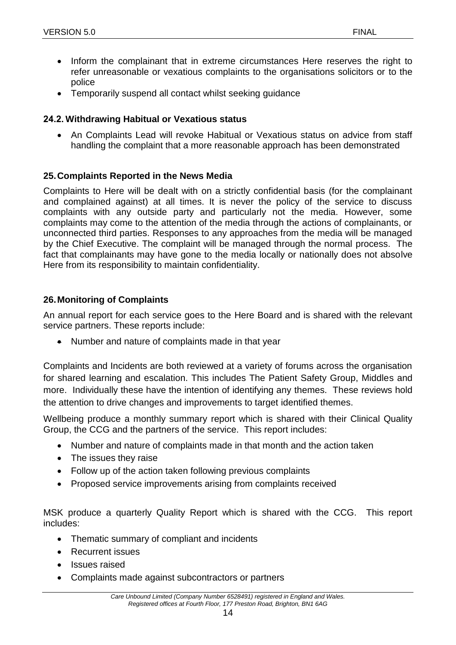- Inform the complainant that in extreme circumstances Here reserves the right to refer unreasonable or vexatious complaints to the organisations solicitors or to the police
- Temporarily suspend all contact whilst seeking guidance

#### **24.2. Withdrawing Habitual or Vexatious status**

 An Complaints Lead will revoke Habitual or Vexatious status on advice from staff handling the complaint that a more reasonable approach has been demonstrated

#### <span id="page-13-0"></span>**25.Complaints Reported in the News Media**

Complaints to Here will be dealt with on a strictly confidential basis (for the complainant and complained against) at all times. It is never the policy of the service to discuss complaints with any outside party and particularly not the media. However, some complaints may come to the attention of the media through the actions of complainants, or unconnected third parties. Responses to any approaches from the media will be managed by the Chief Executive. The complaint will be managed through the normal process. The fact that complainants may have gone to the media locally or nationally does not absolve Here from its responsibility to maintain confidentiality.

#### <span id="page-13-1"></span>**26.Monitoring of Complaints**

An annual report for each service goes to the Here Board and is shared with the relevant service partners. These reports include:

• Number and nature of complaints made in that year

Complaints and Incidents are both reviewed at a variety of forums across the organisation for shared learning and escalation. This includes The Patient Safety Group, Middles and more. Individually these have the intention of identifying any themes. These reviews hold the attention to drive changes and improvements to target identified themes.

Wellbeing produce a monthly summary report which is shared with their Clinical Quality Group, the CCG and the partners of the service. This report includes:

- Number and nature of complaints made in that month and the action taken
- The issues they raise
- Follow up of the action taken following previous complaints
- Proposed service improvements arising from complaints received

MSK produce a quarterly Quality Report which is shared with the CCG. This report includes:

- Thematic summary of compliant and incidents
- Recurrent issues
- Issues raised
- Complaints made against subcontractors or partners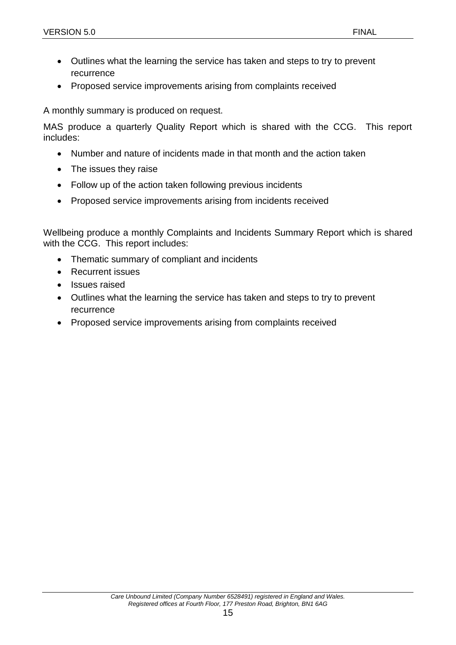- Outlines what the learning the service has taken and steps to try to prevent recurrence
- Proposed service improvements arising from complaints received

A monthly summary is produced on request.

MAS produce a quarterly Quality Report which is shared with the CCG. This report includes:

- Number and nature of incidents made in that month and the action taken
- The issues they raise
- Follow up of the action taken following previous incidents
- Proposed service improvements arising from incidents received

Wellbeing produce a monthly Complaints and Incidents Summary Report which is shared with the CCG. This report includes:

- Thematic summary of compliant and incidents
- Recurrent issues
- Issues raised
- Outlines what the learning the service has taken and steps to try to prevent recurrence
- Proposed service improvements arising from complaints received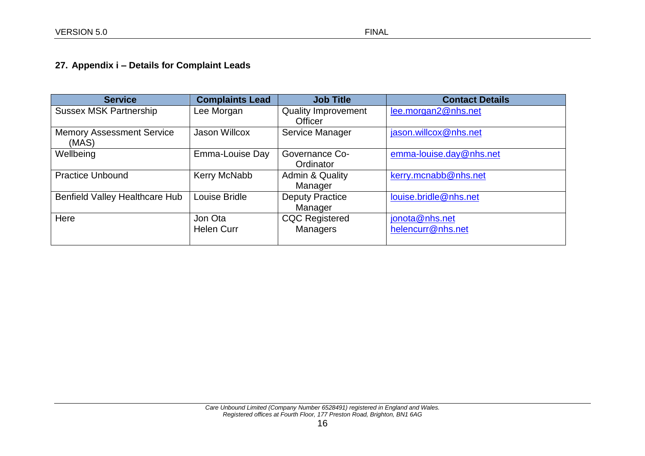# **27. Appendix i – Details for Complaint Leads**

<span id="page-15-0"></span>

| <b>Service</b>                   | <b>Complaints Lead</b> | <b>Job Title</b>           | <b>Contact Details</b>  |
|----------------------------------|------------------------|----------------------------|-------------------------|
| <b>Sussex MSK Partnership</b>    | Lee Morgan             | <b>Quality Improvement</b> | lee.morgan2@nhs.net     |
|                                  |                        | <b>Officer</b>             |                         |
| <b>Memory Assessment Service</b> | <b>Jason Willcox</b>   | Service Manager            | jason.willcox@nhs.net   |
| (MAS)                            |                        |                            |                         |
| Wellbeing                        | Emma-Louise Day        | Governance Co-             | emma-louise.day@nhs.net |
|                                  |                        | Ordinator                  |                         |
| <b>Practice Unbound</b>          | Kerry McNabb           | Admin & Quality            | kerry.mcnabb@nhs.net    |
|                                  |                        | Manager                    |                         |
| Benfield Valley Healthcare Hub   | Louise Bridle          | <b>Deputy Practice</b>     | louise.bridle@nhs.net   |
|                                  |                        | Manager                    |                         |
| Here                             | Jon Ota                | <b>CQC Registered</b>      | jonota@nhs.net          |
|                                  | <b>Helen Curr</b>      | <b>Managers</b>            | helencurr@nhs.net       |
|                                  |                        |                            |                         |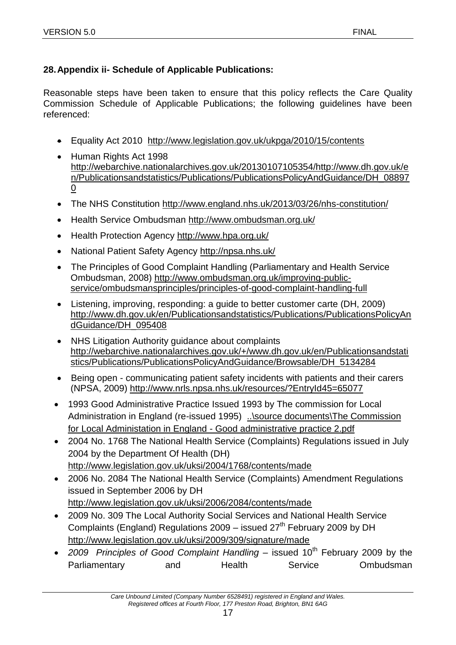# <span id="page-16-0"></span>**28.Appendix ii- Schedule of Applicable Publications:**

Reasonable steps have been taken to ensure that this policy reflects the Care Quality Commission Schedule of Applicable Publications; the following guidelines have been referenced:

- Equality Act 2010 <http://www.legislation.gov.uk/ukpga/2010/15/contents>
- Human Rights Act 1998 [http://webarchive.nationalarchives.gov.uk/20130107105354/http://www.dh.gov.uk/e](http://webarchive.nationalarchives.gov.uk/20130107105354/http:/www.dh.gov.uk/en/Publicationsandstatistics/Publications/PublicationsPolicyAndGuidance/DH_088970) [n/Publicationsandstatistics/Publications/PublicationsPolicyAndGuidance/DH\\_08897](http://webarchive.nationalarchives.gov.uk/20130107105354/http:/www.dh.gov.uk/en/Publicationsandstatistics/Publications/PublicationsPolicyAndGuidance/DH_088970) [0](http://webarchive.nationalarchives.gov.uk/20130107105354/http:/www.dh.gov.uk/en/Publicationsandstatistics/Publications/PublicationsPolicyAndGuidance/DH_088970)
- The NHS Constitution<http://www.england.nhs.uk/2013/03/26/nhs-constitution/>
- Health Service Ombudsman<http://www.ombudsman.org.uk/>
- Health Protection Agency<http://www.hpa.org.uk/>
- National Patient Safety Agency http://npsa.nhs.uk/
- The Principles of Good Complaint Handling (Parliamentary and Health Service Ombudsman, 2008) [http://www.ombudsman.org.uk/improving-public](http://www.ombudsman.org.uk/improving-public-service/ombudsmansprinciples/principles-of-good-complaint-handling-full)[service/ombudsmansprinciples/principles-of-good-complaint-handling-full](http://www.ombudsman.org.uk/improving-public-service/ombudsmansprinciples/principles-of-good-complaint-handling-full)
- Listening, improving, responding: a guide to better customer carte (DH, 2009) [http://www.dh.gov.uk/en/Publicationsandstatistics/Publications/PublicationsPolicyAn](http://www.dh.gov.uk/en/Publicationsandstatistics/Publications/PublicationsPolicyAndGuidance/DH_095408) [dGuidance/DH\\_095408](http://www.dh.gov.uk/en/Publicationsandstatistics/Publications/PublicationsPolicyAndGuidance/DH_095408)
- NHS Litigation Authority guidance about complaints [http://webarchive.nationalarchives.gov.uk/+/www.dh.gov.uk/en/Publicationsandstati](http://webarchive.nationalarchives.gov.uk/+/www.dh.gov.uk/en/Publicationsandstatistics/Publications/PublicationsPolicyAndGuidance/Browsable/DH_5134284) [stics/Publications/PublicationsPolicyAndGuidance/Browsable/DH\\_5134284](http://webarchive.nationalarchives.gov.uk/+/www.dh.gov.uk/en/Publicationsandstatistics/Publications/PublicationsPolicyAndGuidance/Browsable/DH_5134284)
- Being open communicating patient safety incidents with patients and their carers (NPSA, 2009) <http://www.nrls.npsa.nhs.uk/resources/?EntryId45=65077>
- 1993 Good Administrative Practice Issued 1993 by The commission for Local Administration in England (re-issued 1995) [..\source documents\The Commission](file://///rdrfs001/group%20on%20bgh6001/CentralMSK/Integrated%20Service%20Management%20Folder/Incidents,%20Complaints%20&%20Plaudits/Reporting/source%20documents/The%20Commission%20for%20Local%20Administation%20in%20England%20-%20Good%20administrative%20practice%202.pdf)  [for Local Administation in England -](file://///rdrfs001/group%20on%20bgh6001/CentralMSK/Integrated%20Service%20Management%20Folder/Incidents,%20Complaints%20&%20Plaudits/Reporting/source%20documents/The%20Commission%20for%20Local%20Administation%20in%20England%20-%20Good%20administrative%20practice%202.pdf) Good administrative practice 2.pdf
- 2004 No. 1768 The National Health Service (Complaints) Regulations issued in July 2004 by the Department Of Health (DH) <http://www.legislation.gov.uk/uksi/2004/1768/contents/made>
- 2006 No. 2084 The National Health Service (Complaints) Amendment Regulations issued in September 2006 by DH <http://www.legislation.gov.uk/uksi/2006/2084/contents/made>
- 2009 No. 309 The Local Authority Social Services and National Health Service Complaints (England) Regulations  $2009 -$  issued  $27<sup>th</sup>$  February 2009 by DH <http://www.legislation.gov.uk/uksi/2009/309/signature/made>
- 2009 Principles of Good Complaint Handling issued 10<sup>th</sup> February 2009 by the Parliamentary and Health Service Ombudsman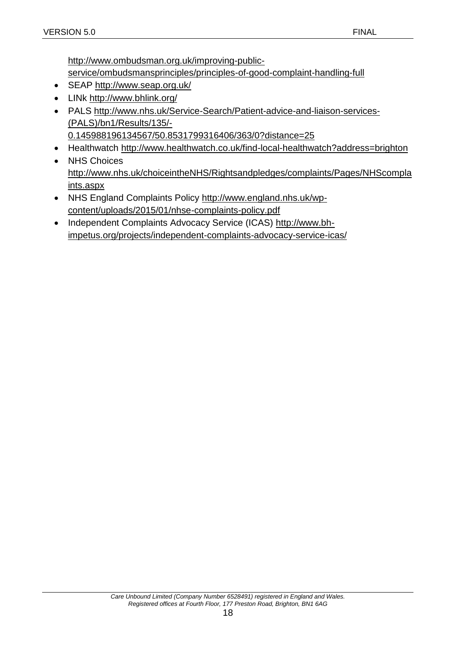[http://www.ombudsman.org.uk/improving-public-](http://www.ombudsman.org.uk/improving-public-service/ombudsmansprinciples/principles-of-good-complaint-handling-full)

[service/ombudsmansprinciples/principles-of-good-complaint-handling-full](http://www.ombudsman.org.uk/improving-public-service/ombudsmansprinciples/principles-of-good-complaint-handling-full)

- SEAP<http://www.seap.org.uk/>
- LINk <http://www.bhlink.org/>
- PALS [http://www.nhs.uk/Service-Search/Patient-advice-and-liaison-services-](http://www.nhs.uk/Service-Search/Patient-advice-and-liaison-services-(PALS)/bn1/Results/135/-0.145988196134567/50.8531799316406/363/0?distance=25) [\(PALS\)/bn1/Results/135/-](http://www.nhs.uk/Service-Search/Patient-advice-and-liaison-services-(PALS)/bn1/Results/135/-0.145988196134567/50.8531799316406/363/0?distance=25) [0.145988196134567/50.8531799316406/363/0?distance=25](http://www.nhs.uk/Service-Search/Patient-advice-and-liaison-services-(PALS)/bn1/Results/135/-0.145988196134567/50.8531799316406/363/0?distance=25)
- Healthwatch<http://www.healthwatch.co.uk/find-local-healthwatch?address=brighton>
- NHS Choices [http://www.nhs.uk/choiceintheNHS/Rightsandpledges/complaints/Pages/NHScompla](http://www.nhs.uk/choiceintheNHS/Rightsandpledges/complaints/Pages/NHScomplaints.aspx) [ints.aspx](http://www.nhs.uk/choiceintheNHS/Rightsandpledges/complaints/Pages/NHScomplaints.aspx)
- NHS England Complaints Policy [http://www.england.nhs.uk/wp](http://www.england.nhs.uk/wp-content/uploads/2015/01/nhse-complaints-policy.pdf)[content/uploads/2015/01/nhse-complaints-policy.pdf](http://www.england.nhs.uk/wp-content/uploads/2015/01/nhse-complaints-policy.pdf)
- Independent Complaints Advocacy Service (ICAS) [http://www.bh](http://www.bh-impetus.org/projects/independent-complaints-advocacy-service-icas/)[impetus.org/projects/independent-complaints-advocacy-service-icas/](http://www.bh-impetus.org/projects/independent-complaints-advocacy-service-icas/)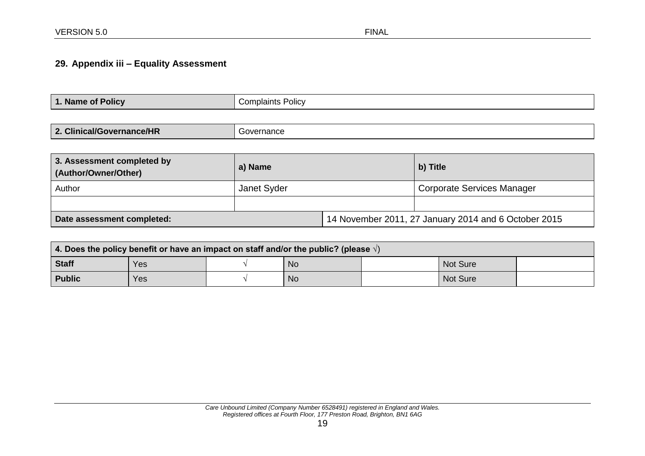# **29. Appendix iii – Equality Assessment**

| $\blacktriangleleft$ | Complaints Policy |
|----------------------|-------------------|
| 1. Name of Policy    |                   |
|                      |                   |

| 3. Assessment completed by<br>(Author/Owner/Other) | a) Name     |                                                      | b) Title                   |  |
|----------------------------------------------------|-------------|------------------------------------------------------|----------------------------|--|
| Author                                             | Janet Syder |                                                      | Corporate Services Manager |  |
|                                                    |             |                                                      |                            |  |
| Date assessment completed:                         |             | 14 November 2011, 27 January 2014 and 6 October 2015 |                            |  |

<span id="page-18-0"></span>

| 4. Does the policy benefit or have an impact on staff and/or the public? (please $\sqrt{ }$ ) |     |  |           |  |                 |  |  |
|-----------------------------------------------------------------------------------------------|-----|--|-----------|--|-----------------|--|--|
| <b>Staff</b>                                                                                  | Yes |  | <b>No</b> |  | <b>Not Sure</b> |  |  |
| <b>Public</b><br><b>No</b><br>Not Sure<br>Yes                                                 |     |  |           |  |                 |  |  |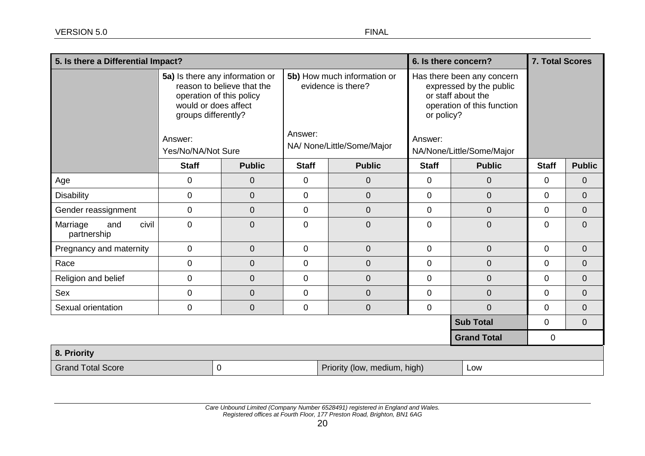| 5. Is there a Differential Impact?      |                                                                                                                                                                           |                |                                                                                            |                                     |                                                                                                                                                                 | 6. Is there concern? | <b>7. Total Scores</b> |                |
|-----------------------------------------|---------------------------------------------------------------------------------------------------------------------------------------------------------------------------|----------------|--------------------------------------------------------------------------------------------|-------------------------------------|-----------------------------------------------------------------------------------------------------------------------------------------------------------------|----------------------|------------------------|----------------|
|                                         | 5a) Is there any information or<br>reason to believe that the<br>operation of this policy<br>would or does affect<br>groups differently?<br>Answer:<br>Yes/No/NA/Not Sure |                | 5b) How much information or<br>evidence is there?<br>Answer:<br>NA/ None/Little/Some/Major |                                     | Has there been any concern<br>expressed by the public<br>or staff about the<br>operation of this function<br>or policy?<br>Answer:<br>NA/None/Little/Some/Major |                      |                        |                |
|                                         | <b>Staff</b>                                                                                                                                                              | <b>Public</b>  | <b>Staff</b>                                                                               | <b>Public</b>                       | <b>Staff</b>                                                                                                                                                    | <b>Public</b>        | <b>Staff</b>           | <b>Public</b>  |
| Age                                     | $\mathbf 0$                                                                                                                                                               | $\overline{0}$ | $\mathbf 0$                                                                                | $\overline{0}$                      | $\mathbf 0$                                                                                                                                                     | $\overline{0}$       | 0                      | $\overline{0}$ |
| <b>Disability</b>                       | $\mathbf 0$                                                                                                                                                               | $\overline{0}$ | $\mathbf 0$                                                                                | $\overline{0}$                      | $\overline{0}$                                                                                                                                                  | $\overline{0}$       | 0                      | $\overline{0}$ |
| Gender reassignment                     | $\mathbf 0$                                                                                                                                                               | $\overline{0}$ | $\mathbf 0$                                                                                | $\overline{0}$                      | $\mathbf{0}$                                                                                                                                                    | $\overline{0}$       | $\mathbf 0$            | $\overline{0}$ |
| civil<br>Marriage<br>and<br>partnership | $\mathbf 0$                                                                                                                                                               | $\overline{0}$ | $\mathbf 0$                                                                                | $\overline{0}$                      | $\mathbf 0$                                                                                                                                                     | $\overline{0}$       | 0                      | $\overline{0}$ |
| Pregnancy and maternity                 | $\pmb{0}$                                                                                                                                                                 | $\overline{0}$ | $\overline{0}$                                                                             | $\overline{0}$                      | $\mathbf 0$                                                                                                                                                     | $\mathbf 0$          | $\mathbf 0$            | $\mathbf 0$    |
| Race                                    | $\mathbf 0$                                                                                                                                                               | $\overline{0}$ | $\mathbf 0$                                                                                | $\overline{0}$                      | $\mathbf 0$                                                                                                                                                     | $\overline{0}$       | 0                      | $\mathbf 0$    |
| Religion and belief                     | $\mathbf 0$                                                                                                                                                               | $\overline{0}$ | $\mathbf 0$                                                                                | $\overline{0}$                      | $\mathbf 0$                                                                                                                                                     | $\overline{0}$       | 0                      | $\overline{0}$ |
| Sex                                     | $\mathbf 0$                                                                                                                                                               | $\mathbf{0}$   | $\mathbf 0$                                                                                | $\overline{0}$                      | $\mathbf 0$                                                                                                                                                     | $\overline{0}$       | $\mathbf 0$            | $\overline{0}$ |
| Sexual orientation                      | 0                                                                                                                                                                         | $\overline{0}$ | $\overline{0}$                                                                             | $\boldsymbol{0}$                    | $\mathbf 0$                                                                                                                                                     | $\overline{0}$       | 0                      | $\overline{0}$ |
| <b>Sub Total</b>                        |                                                                                                                                                                           |                |                                                                                            |                                     | $\mathbf 0$                                                                                                                                                     | $\overline{0}$       |                        |                |
| <b>Grand Total</b>                      |                                                                                                                                                                           |                |                                                                                            |                                     | $\mathbf 0$                                                                                                                                                     |                      |                        |                |
| 8. Priority                             |                                                                                                                                                                           |                |                                                                                            |                                     |                                                                                                                                                                 |                      |                        |                |
| <b>Grand Total Score</b><br>$\mathbf 0$ |                                                                                                                                                                           |                |                                                                                            | Priority (low, medium, high)<br>Low |                                                                                                                                                                 |                      |                        |                |